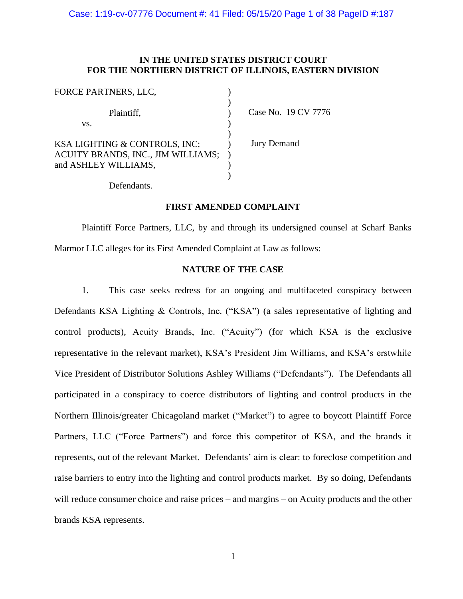## **IN THE UNITED STATES DISTRICT COURT FOR THE NORTHERN DISTRICT OF ILLINOIS, EASTERN DIVISION**

| Case No. 19 CV 7776 |
|---------------------|
|                     |
|                     |
| <b>Jury Demand</b>  |
|                     |
|                     |
|                     |
|                     |

Defendants.

#### **FIRST AMENDED COMPLAINT**

Plaintiff Force Partners, LLC, by and through its undersigned counsel at Scharf Banks Marmor LLC alleges for its First Amended Complaint at Law as follows:

#### **NATURE OF THE CASE**

1. This case seeks redress for an ongoing and multifaceted conspiracy between Defendants KSA Lighting & Controls, Inc. ("KSA") (a sales representative of lighting and control products), Acuity Brands, Inc. ("Acuity") (for which KSA is the exclusive representative in the relevant market), KSA's President Jim Williams, and KSA's erstwhile Vice President of Distributor Solutions Ashley Williams ("Defendants"). The Defendants all participated in a conspiracy to coerce distributors of lighting and control products in the Northern Illinois/greater Chicagoland market ("Market") to agree to boycott Plaintiff Force Partners, LLC ("Force Partners") and force this competitor of KSA, and the brands it represents, out of the relevant Market. Defendants' aim is clear: to foreclose competition and raise barriers to entry into the lighting and control products market. By so doing, Defendants will reduce consumer choice and raise prices – and margins – on Acuity products and the other brands KSA represents.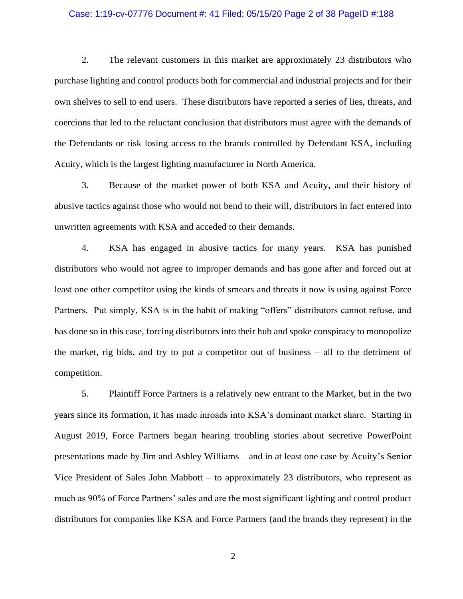#### Case: 1:19-cv-07776 Document #: 41 Filed: 05/15/20 Page 2 of 38 PageID #:188

2. The relevant customers in this market are approximately 23 distributors who purchase lighting and control products both for commercial and industrial projects and for their own shelves to sell to end users. These distributors have reported a series of lies, threats, and coercions that led to the reluctant conclusion that distributors must agree with the demands of the Defendants or risk losing access to the brands controlled by Defendant KSA, including Acuity, which is the largest lighting manufacturer in North America.

3. Because of the market power of both KSA and Acuity, and their history of abusive tactics against those who would not bend to their will, distributors in fact entered into unwritten agreements with KSA and acceded to their demands.

4. KSA has engaged in abusive tactics for many years. KSA has punished distributors who would not agree to improper demands and has gone after and forced out at least one other competitor using the kinds of smears and threats it now is using against Force Partners. Put simply, KSA is in the habit of making "offers" distributors cannot refuse, and has done so in this case, forcing distributors into their hub and spoke conspiracy to monopolize the market, rig bids, and try to put a competitor out of business – all to the detriment of competition.

5. Plaintiff Force Partners is a relatively new entrant to the Market, but in the two years since its formation, it has made inroads into KSA's dominant market share. Starting in August 2019, Force Partners began hearing troubling stories about secretive PowerPoint presentations made by Jim and Ashley Williams – and in at least one case by Acuity's Senior Vice President of Sales John Mabbott – to approximately 23 distributors, who represent as much as 90% of Force Partners' sales and are the most significant lighting and control product distributors for companies like KSA and Force Partners (and the brands they represent) in the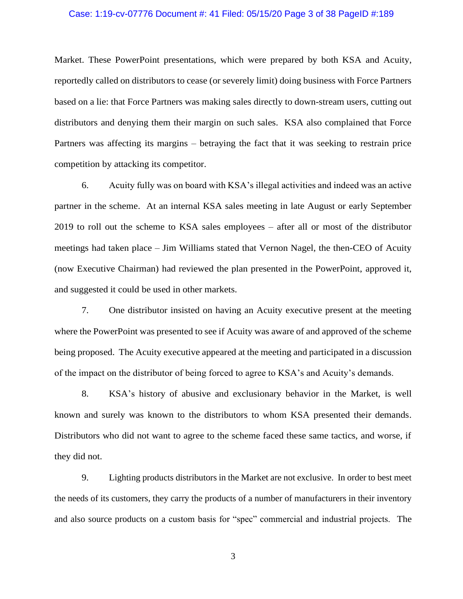#### Case: 1:19-cv-07776 Document #: 41 Filed: 05/15/20 Page 3 of 38 PageID #:189

Market. These PowerPoint presentations, which were prepared by both KSA and Acuity, reportedly called on distributors to cease (or severely limit) doing business with Force Partners based on a lie: that Force Partners was making sales directly to down-stream users, cutting out distributors and denying them their margin on such sales. KSA also complained that Force Partners was affecting its margins – betraying the fact that it was seeking to restrain price competition by attacking its competitor.

6. Acuity fully was on board with KSA's illegal activities and indeed was an active partner in the scheme. At an internal KSA sales meeting in late August or early September 2019 to roll out the scheme to KSA sales employees – after all or most of the distributor meetings had taken place – Jim Williams stated that Vernon Nagel, the then-CEO of Acuity (now Executive Chairman) had reviewed the plan presented in the PowerPoint, approved it, and suggested it could be used in other markets.

7. One distributor insisted on having an Acuity executive present at the meeting where the PowerPoint was presented to see if Acuity was aware of and approved of the scheme being proposed. The Acuity executive appeared at the meeting and participated in a discussion of the impact on the distributor of being forced to agree to KSA's and Acuity's demands.

8. KSA's history of abusive and exclusionary behavior in the Market, is well known and surely was known to the distributors to whom KSA presented their demands. Distributors who did not want to agree to the scheme faced these same tactics, and worse, if they did not.

9. Lighting products distributors in the Market are not exclusive. In order to best meet the needs of its customers, they carry the products of a number of manufacturers in their inventory and also source products on a custom basis for "spec" commercial and industrial projects. The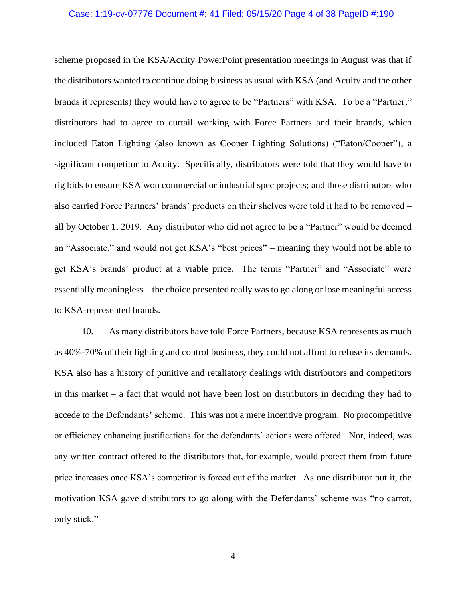#### Case: 1:19-cv-07776 Document #: 41 Filed: 05/15/20 Page 4 of 38 PageID #:190

scheme proposed in the KSA/Acuity PowerPoint presentation meetings in August was that if the distributors wanted to continue doing business as usual with KSA (and Acuity and the other brands it represents) they would have to agree to be "Partners" with KSA. To be a "Partner," distributors had to agree to curtail working with Force Partners and their brands, which included Eaton Lighting (also known as Cooper Lighting Solutions) ("Eaton/Cooper"), a significant competitor to Acuity. Specifically, distributors were told that they would have to rig bids to ensure KSA won commercial or industrial spec projects; and those distributors who also carried Force Partners' brands' products on their shelves were told it had to be removed – all by October 1, 2019. Any distributor who did not agree to be a "Partner" would be deemed an "Associate," and would not get KSA's "best prices" – meaning they would not be able to get KSA's brands' product at a viable price. The terms "Partner" and "Associate" were essentially meaningless – the choice presented really was to go along or lose meaningful access to KSA-represented brands.

10. As many distributors have told Force Partners, because KSA represents as much as 40%-70% of their lighting and control business, they could not afford to refuse its demands. KSA also has a history of punitive and retaliatory dealings with distributors and competitors in this market – a fact that would not have been lost on distributors in deciding they had to accede to the Defendants' scheme. This was not a mere incentive program. No procompetitive or efficiency enhancing justifications for the defendants' actions were offered. Nor, indeed, was any written contract offered to the distributors that, for example, would protect them from future price increases once KSA's competitor is forced out of the market. As one distributor put it, the motivation KSA gave distributors to go along with the Defendants' scheme was "no carrot, only stick."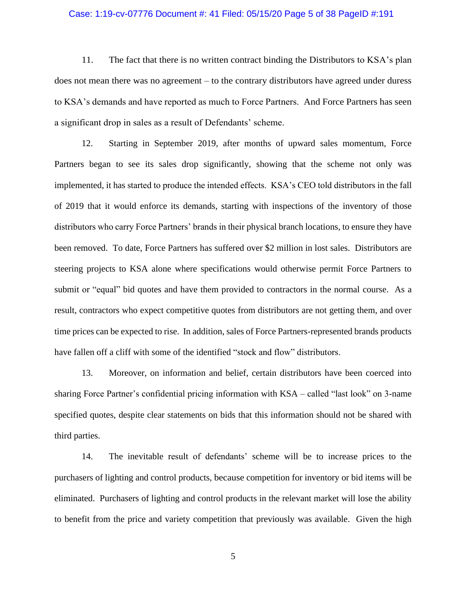#### Case: 1:19-cv-07776 Document #: 41 Filed: 05/15/20 Page 5 of 38 PageID #:191

11. The fact that there is no written contract binding the Distributors to KSA's plan does not mean there was no agreement – to the contrary distributors have agreed under duress to KSA's demands and have reported as much to Force Partners. And Force Partners has seen a significant drop in sales as a result of Defendants' scheme.

12. Starting in September 2019, after months of upward sales momentum, Force Partners began to see its sales drop significantly, showing that the scheme not only was implemented, it has started to produce the intended effects. KSA's CEO told distributors in the fall of 2019 that it would enforce its demands, starting with inspections of the inventory of those distributors who carry Force Partners' brands in their physical branch locations, to ensure they have been removed. To date, Force Partners has suffered over \$2 million in lost sales. Distributors are steering projects to KSA alone where specifications would otherwise permit Force Partners to submit or "equal" bid quotes and have them provided to contractors in the normal course. As a result, contractors who expect competitive quotes from distributors are not getting them, and over time prices can be expected to rise. In addition, sales of Force Partners-represented brands products have fallen off a cliff with some of the identified "stock and flow" distributors.

13. Moreover, on information and belief, certain distributors have been coerced into sharing Force Partner's confidential pricing information with KSA – called "last look" on 3-name specified quotes, despite clear statements on bids that this information should not be shared with third parties.

14. The inevitable result of defendants' scheme will be to increase prices to the purchasers of lighting and control products, because competition for inventory or bid items will be eliminated. Purchasers of lighting and control products in the relevant market will lose the ability to benefit from the price and variety competition that previously was available. Given the high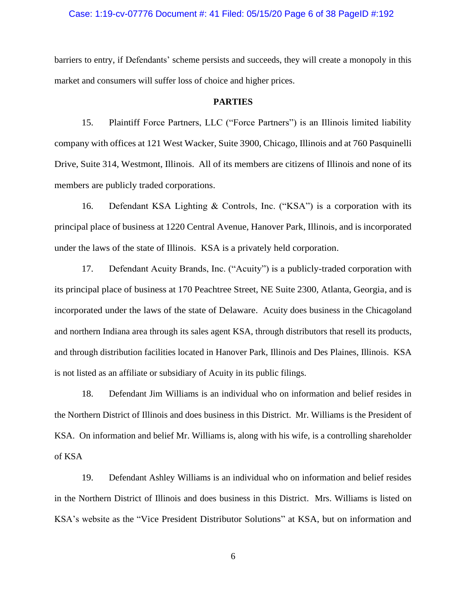#### Case: 1:19-cv-07776 Document #: 41 Filed: 05/15/20 Page 6 of 38 PageID #:192

barriers to entry, if Defendants' scheme persists and succeeds, they will create a monopoly in this market and consumers will suffer loss of choice and higher prices.

#### **PARTIES**

15. Plaintiff Force Partners, LLC ("Force Partners") is an Illinois limited liability company with offices at 121 West Wacker, Suite 3900, Chicago, Illinois and at 760 Pasquinelli Drive, Suite 314, Westmont, Illinois. All of its members are citizens of Illinois and none of its members are publicly traded corporations.

16. Defendant KSA Lighting & Controls, Inc. ("KSA") is a corporation with its principal place of business at 1220 Central Avenue, Hanover Park, Illinois, and is incorporated under the laws of the state of Illinois. KSA is a privately held corporation.

17. Defendant Acuity Brands, Inc. ("Acuity") is a publicly-traded corporation with its principal place of business at 170 Peachtree Street, NE Suite 2300, Atlanta, Georgia, and is incorporated under the laws of the state of Delaware. Acuity does business in the Chicagoland and northern Indiana area through its sales agent KSA, through distributors that resell its products, and through distribution facilities located in Hanover Park, Illinois and Des Plaines, Illinois. KSA is not listed as an affiliate or subsidiary of Acuity in its public filings.

18. Defendant Jim Williams is an individual who on information and belief resides in the Northern District of Illinois and does business in this District. Mr. Williams is the President of KSA. On information and belief Mr. Williams is, along with his wife, is a controlling shareholder of KSA

19. Defendant Ashley Williams is an individual who on information and belief resides in the Northern District of Illinois and does business in this District. Mrs. Williams is listed on KSA's website as the "Vice President Distributor Solutions" at KSA, but on information and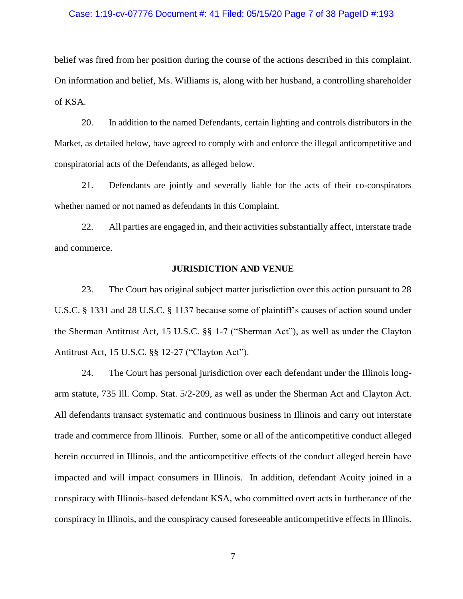#### Case: 1:19-cv-07776 Document #: 41 Filed: 05/15/20 Page 7 of 38 PageID #:193

belief was fired from her position during the course of the actions described in this complaint. On information and belief, Ms. Williams is, along with her husband, a controlling shareholder of KSA.

20. In addition to the named Defendants, certain lighting and controls distributors in the Market, as detailed below, have agreed to comply with and enforce the illegal anticompetitive and conspiratorial acts of the Defendants, as alleged below.

21. Defendants are jointly and severally liable for the acts of their co-conspirators whether named or not named as defendants in this Complaint.

22. All parties are engaged in, and their activities substantially affect, interstate trade and commerce.

#### **JURISDICTION AND VENUE**

23. The Court has original subject matter jurisdiction over this action pursuant to 28 U.S.C. § 1331 and 28 U.S.C. § 1137 because some of plaintiff's causes of action sound under the Sherman Antitrust Act, 15 U.S.C. §§ 1-7 ("Sherman Act"), as well as under the Clayton Antitrust Act, 15 U.S.C. §§ 12-27 ("Clayton Act").

24. The Court has personal jurisdiction over each defendant under the Illinois longarm statute, 735 Ill. Comp. Stat. 5/2-209, as well as under the Sherman Act and Clayton Act. All defendants transact systematic and continuous business in Illinois and carry out interstate trade and commerce from Illinois. Further, some or all of the anticompetitive conduct alleged herein occurred in Illinois, and the anticompetitive effects of the conduct alleged herein have impacted and will impact consumers in Illinois. In addition, defendant Acuity joined in a conspiracy with Illinois-based defendant KSA, who committed overt acts in furtherance of the conspiracy in Illinois, and the conspiracy caused foreseeable anticompetitive effects in Illinois.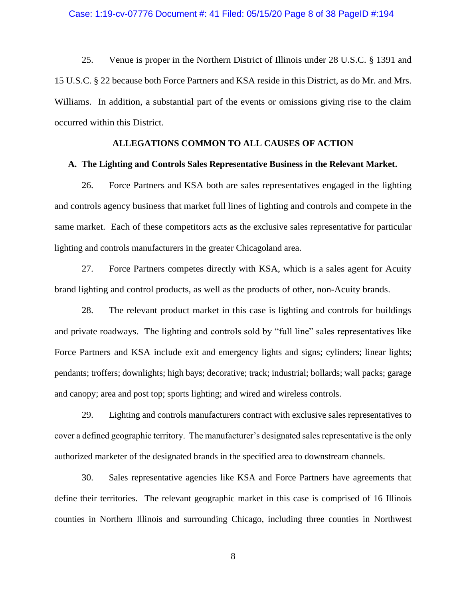#### Case: 1:19-cv-07776 Document #: 41 Filed: 05/15/20 Page 8 of 38 PageID #:194

25. Venue is proper in the Northern District of Illinois under 28 U.S.C. § 1391 and 15 U.S.C. § 22 because both Force Partners and KSA reside in this District, as do Mr. and Mrs. Williams. In addition, a substantial part of the events or omissions giving rise to the claim occurred within this District.

#### **ALLEGATIONS COMMON TO ALL CAUSES OF ACTION**

#### **A. The Lighting and Controls Sales Representative Business in the Relevant Market.**

26. Force Partners and KSA both are sales representatives engaged in the lighting and controls agency business that market full lines of lighting and controls and compete in the same market. Each of these competitors acts as the exclusive sales representative for particular lighting and controls manufacturers in the greater Chicagoland area.

27. Force Partners competes directly with KSA, which is a sales agent for Acuity brand lighting and control products, as well as the products of other, non-Acuity brands.

28. The relevant product market in this case is lighting and controls for buildings and private roadways. The lighting and controls sold by "full line" sales representatives like Force Partners and KSA include exit and emergency lights and signs; cylinders; linear lights; pendants; troffers; downlights; high bays; decorative; track; industrial; bollards; wall packs; garage and canopy; area and post top; sports lighting; and wired and wireless controls.

29. Lighting and controls manufacturers contract with exclusive sales representatives to cover a defined geographic territory. The manufacturer's designated sales representative is the only authorized marketer of the designated brands in the specified area to downstream channels.

30. Sales representative agencies like KSA and Force Partners have agreements that define their territories. The relevant geographic market in this case is comprised of 16 Illinois counties in Northern Illinois and surrounding Chicago, including three counties in Northwest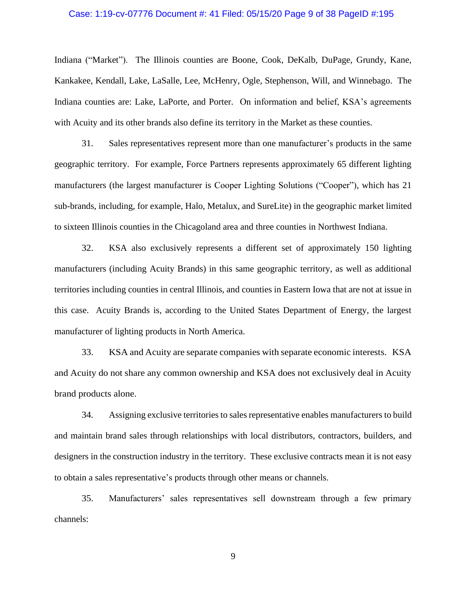#### Case: 1:19-cv-07776 Document #: 41 Filed: 05/15/20 Page 9 of 38 PageID #:195

Indiana ("Market"). The Illinois counties are Boone, Cook, DeKalb, DuPage, Grundy, Kane, Kankakee, Kendall, Lake, LaSalle, Lee, McHenry, Ogle, Stephenson, Will, and Winnebago. The Indiana counties are: Lake, LaPorte, and Porter. On information and belief, KSA's agreements with Acuity and its other brands also define its territory in the Market as these counties.

31. Sales representatives represent more than one manufacturer's products in the same geographic territory. For example, Force Partners represents approximately 65 different lighting manufacturers (the largest manufacturer is Cooper Lighting Solutions ("Cooper"), which has 21 sub-brands, including, for example, Halo, Metalux, and SureLite) in the geographic market limited to sixteen Illinois counties in the Chicagoland area and three counties in Northwest Indiana.

32. KSA also exclusively represents a different set of approximately 150 lighting manufacturers (including Acuity Brands) in this same geographic territory, as well as additional territories including counties in central Illinois, and counties in Eastern Iowa that are not at issue in this case. Acuity Brands is, according to the United States Department of Energy, the largest manufacturer of lighting products in North America.

33. KSA and Acuity are separate companies with separate economic interests. KSA and Acuity do not share any common ownership and KSA does not exclusively deal in Acuity brand products alone.

34. Assigning exclusive territories to sales representative enables manufacturers to build and maintain brand sales through relationships with local distributors, contractors, builders, and designers in the construction industry in the territory. These exclusive contracts mean it is not easy to obtain a sales representative's products through other means or channels.

35. Manufacturers' sales representatives sell downstream through a few primary channels: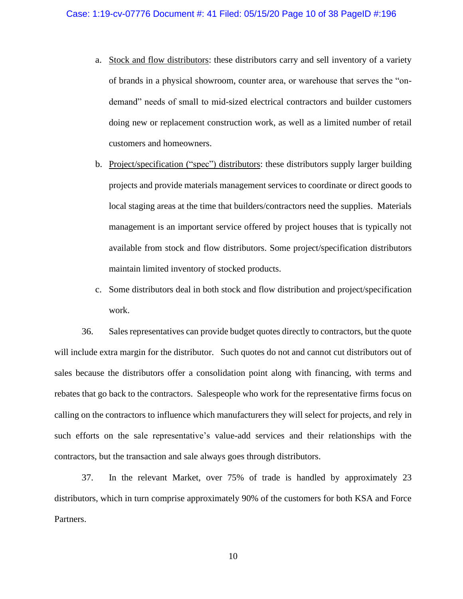- a. Stock and flow distributors: these distributors carry and sell inventory of a variety of brands in a physical showroom, counter area, or warehouse that serves the "ondemand" needs of small to mid-sized electrical contractors and builder customers doing new or replacement construction work, as well as a limited number of retail customers and homeowners.
- b. Project/specification ("spec") distributors: these distributors supply larger building projects and provide materials management services to coordinate or direct goods to local staging areas at the time that builders/contractors need the supplies. Materials management is an important service offered by project houses that is typically not available from stock and flow distributors. Some project/specification distributors maintain limited inventory of stocked products.
- c. Some distributors deal in both stock and flow distribution and project/specification work.

36. Sales representatives can provide budget quotes directly to contractors, but the quote will include extra margin for the distributor. Such quotes do not and cannot cut distributors out of sales because the distributors offer a consolidation point along with financing, with terms and rebates that go back to the contractors. Salespeople who work for the representative firms focus on calling on the contractors to influence which manufacturers they will select for projects, and rely in such efforts on the sale representative's value-add services and their relationships with the contractors, but the transaction and sale always goes through distributors.

37. In the relevant Market, over 75% of trade is handled by approximately 23 distributors, which in turn comprise approximately 90% of the customers for both KSA and Force Partners.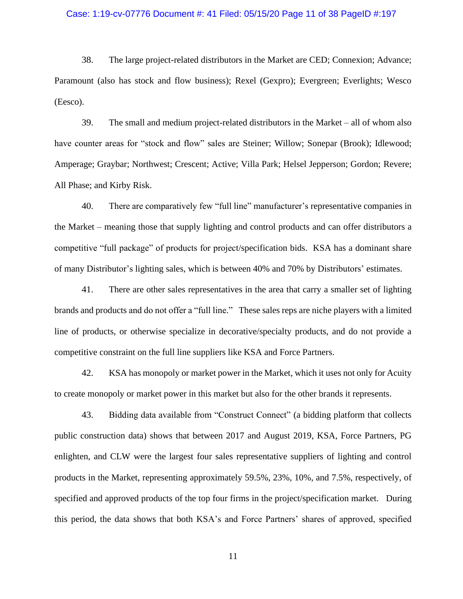### Case: 1:19-cv-07776 Document #: 41 Filed: 05/15/20 Page 11 of 38 PageID #:197

38. The large project-related distributors in the Market are CED; Connexion; Advance; Paramount (also has stock and flow business); Rexel (Gexpro); Evergreen; Everlights; Wesco (Eesco).

39. The small and medium project-related distributors in the Market – all of whom also have counter areas for "stock and flow" sales are Steiner; Willow; Sonepar (Brook); Idlewood; Amperage; Graybar; Northwest; Crescent; Active; Villa Park; Helsel Jepperson; Gordon; Revere; All Phase; and Kirby Risk.

40. There are comparatively few "full line" manufacturer's representative companies in the Market – meaning those that supply lighting and control products and can offer distributors a competitive "full package" of products for project/specification bids. KSA has a dominant share of many Distributor's lighting sales, which is between 40% and 70% by Distributors' estimates.

41. There are other sales representatives in the area that carry a smaller set of lighting brands and products and do not offer a "full line." These sales reps are niche players with a limited line of products, or otherwise specialize in decorative/specialty products, and do not provide a competitive constraint on the full line suppliers like KSA and Force Partners.

42. KSA has monopoly or market power in the Market, which it uses not only for Acuity to create monopoly or market power in this market but also for the other brands it represents.

43. Bidding data available from "Construct Connect" (a bidding platform that collects public construction data) shows that between 2017 and August 2019, KSA, Force Partners, PG enlighten, and CLW were the largest four sales representative suppliers of lighting and control products in the Market, representing approximately 59.5%, 23%, 10%, and 7.5%, respectively, of specified and approved products of the top four firms in the project/specification market. During this period, the data shows that both KSA's and Force Partners' shares of approved, specified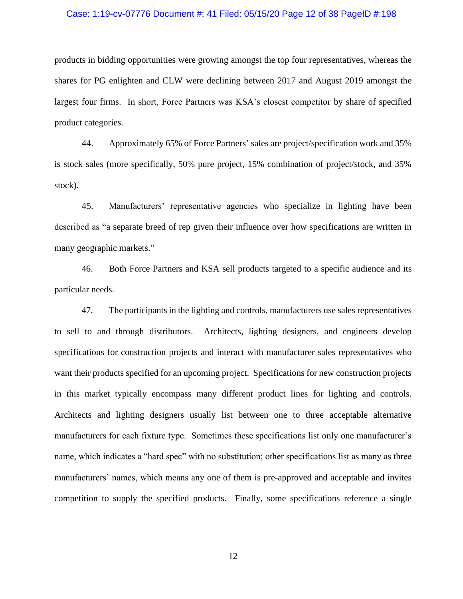#### Case: 1:19-cv-07776 Document #: 41 Filed: 05/15/20 Page 12 of 38 PageID #:198

products in bidding opportunities were growing amongst the top four representatives, whereas the shares for PG enlighten and CLW were declining between 2017 and August 2019 amongst the largest four firms. In short, Force Partners was KSA's closest competitor by share of specified product categories.

44. Approximately 65% of Force Partners' sales are project/specification work and 35% is stock sales (more specifically, 50% pure project, 15% combination of project/stock, and 35% stock).

45. Manufacturers' representative agencies who specialize in lighting have been described as "a separate breed of rep given their influence over how specifications are written in many geographic markets."

46. Both Force Partners and KSA sell products targeted to a specific audience and its particular needs.

47. The participants in the lighting and controls, manufacturers use sales representatives to sell to and through distributors. Architects, lighting designers, and engineers develop specifications for construction projects and interact with manufacturer sales representatives who want their products specified for an upcoming project. Specifications for new construction projects in this market typically encompass many different product lines for lighting and controls. Architects and lighting designers usually list between one to three acceptable alternative manufacturers for each fixture type. Sometimes these specifications list only one manufacturer's name, which indicates a "hard spec" with no substitution; other specifications list as many as three manufacturers' names, which means any one of them is pre-approved and acceptable and invites competition to supply the specified products. Finally, some specifications reference a single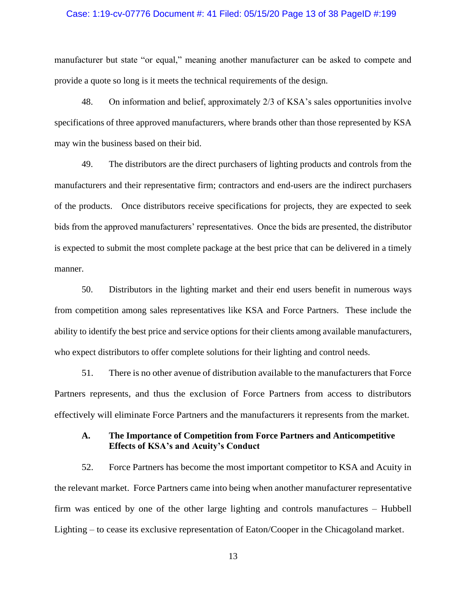#### Case: 1:19-cv-07776 Document #: 41 Filed: 05/15/20 Page 13 of 38 PageID #:199

manufacturer but state "or equal," meaning another manufacturer can be asked to compete and provide a quote so long is it meets the technical requirements of the design.

48. On information and belief, approximately 2/3 of KSA's sales opportunities involve specifications of three approved manufacturers, where brands other than those represented by KSA may win the business based on their bid.

49. The distributors are the direct purchasers of lighting products and controls from the manufacturers and their representative firm; contractors and end-users are the indirect purchasers of the products. Once distributors receive specifications for projects, they are expected to seek bids from the approved manufacturers' representatives. Once the bids are presented, the distributor is expected to submit the most complete package at the best price that can be delivered in a timely manner.

50. Distributors in the lighting market and their end users benefit in numerous ways from competition among sales representatives like KSA and Force Partners. These include the ability to identify the best price and service options for their clients among available manufacturers, who expect distributors to offer complete solutions for their lighting and control needs.

51. There is no other avenue of distribution available to the manufacturers that Force Partners represents, and thus the exclusion of Force Partners from access to distributors effectively will eliminate Force Partners and the manufacturers it represents from the market.

## **A. The Importance of Competition from Force Partners and Anticompetitive Effects of KSA's and Acuity's Conduct**

52. Force Partners has become the most important competitor to KSA and Acuity in the relevant market. Force Partners came into being when another manufacturer representative firm was enticed by one of the other large lighting and controls manufactures – Hubbell Lighting – to cease its exclusive representation of Eaton/Cooper in the Chicagoland market.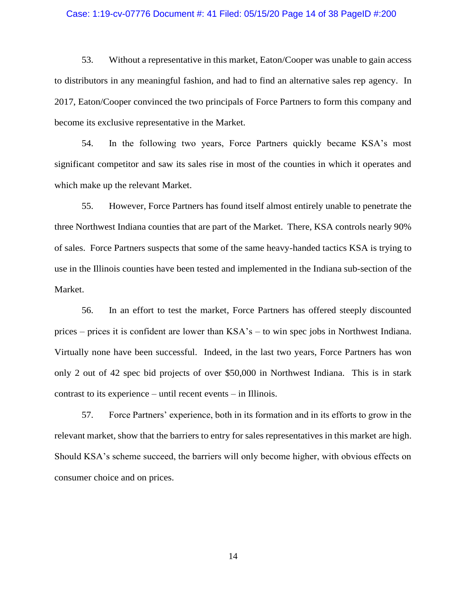#### Case: 1:19-cv-07776 Document #: 41 Filed: 05/15/20 Page 14 of 38 PageID #:200

53. Without a representative in this market, Eaton/Cooper was unable to gain access to distributors in any meaningful fashion, and had to find an alternative sales rep agency. In 2017, Eaton/Cooper convinced the two principals of Force Partners to form this company and become its exclusive representative in the Market.

54. In the following two years, Force Partners quickly became KSA's most significant competitor and saw its sales rise in most of the counties in which it operates and which make up the relevant Market.

55. However, Force Partners has found itself almost entirely unable to penetrate the three Northwest Indiana counties that are part of the Market. There, KSA controls nearly 90% of sales. Force Partners suspects that some of the same heavy-handed tactics KSA is trying to use in the Illinois counties have been tested and implemented in the Indiana sub-section of the Market.

56. In an effort to test the market, Force Partners has offered steeply discounted prices – prices it is confident are lower than KSA's – to win spec jobs in Northwest Indiana. Virtually none have been successful. Indeed, in the last two years, Force Partners has won only 2 out of 42 spec bid projects of over \$50,000 in Northwest Indiana. This is in stark contrast to its experience – until recent events – in Illinois.

57. Force Partners' experience, both in its formation and in its efforts to grow in the relevant market, show that the barriers to entry for sales representatives in this market are high. Should KSA's scheme succeed, the barriers will only become higher, with obvious effects on consumer choice and on prices.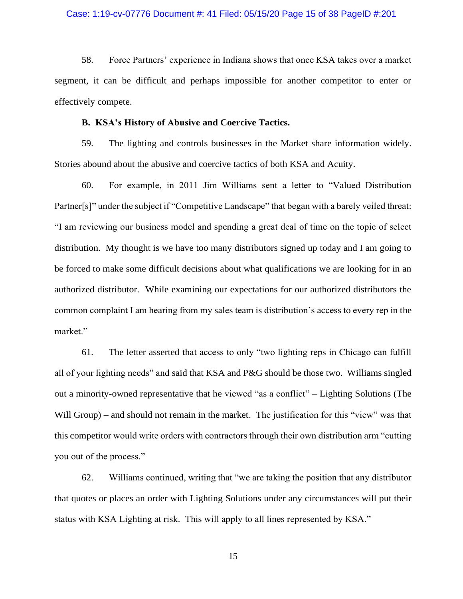#### Case: 1:19-cv-07776 Document #: 41 Filed: 05/15/20 Page 15 of 38 PageID #:201

58. Force Partners' experience in Indiana shows that once KSA takes over a market segment, it can be difficult and perhaps impossible for another competitor to enter or effectively compete.

#### **B. KSA's History of Abusive and Coercive Tactics.**

59. The lighting and controls businesses in the Market share information widely. Stories abound about the abusive and coercive tactics of both KSA and Acuity.

60. For example, in 2011 Jim Williams sent a letter to "Valued Distribution Partner[s]" under the subject if "Competitive Landscape" that began with a barely veiled threat: "I am reviewing our business model and spending a great deal of time on the topic of select distribution. My thought is we have too many distributors signed up today and I am going to be forced to make some difficult decisions about what qualifications we are looking for in an authorized distributor. While examining our expectations for our authorized distributors the common complaint I am hearing from my sales team is distribution's access to every rep in the market."

61. The letter asserted that access to only "two lighting reps in Chicago can fulfill all of your lighting needs" and said that KSA and P&G should be those two. Williams singled out a minority-owned representative that he viewed "as a conflict" – Lighting Solutions (The Will Group) – and should not remain in the market. The justification for this "view" was that this competitor would write orders with contractors through their own distribution arm "cutting you out of the process."

62. Williams continued, writing that "we are taking the position that any distributor that quotes or places an order with Lighting Solutions under any circumstances will put their status with KSA Lighting at risk. This will apply to all lines represented by KSA."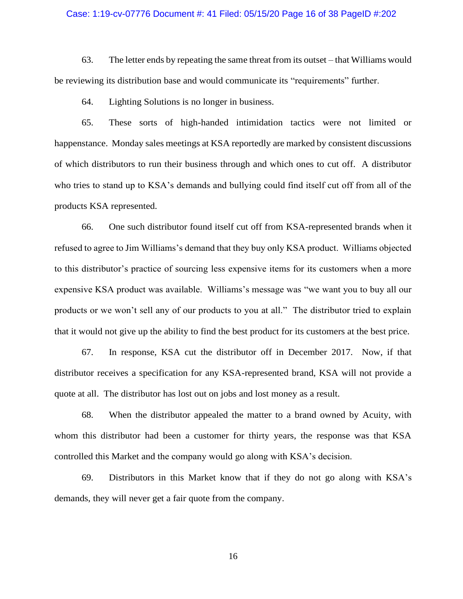#### Case: 1:19-cv-07776 Document #: 41 Filed: 05/15/20 Page 16 of 38 PageID #:202

63. The letter ends by repeating the same threat from its outset – that Williams would be reviewing its distribution base and would communicate its "requirements" further.

64. Lighting Solutions is no longer in business.

65. These sorts of high-handed intimidation tactics were not limited or happenstance. Monday sales meetings at KSA reportedly are marked by consistent discussions of which distributors to run their business through and which ones to cut off. A distributor who tries to stand up to KSA's demands and bullying could find itself cut off from all of the products KSA represented.

66. One such distributor found itself cut off from KSA-represented brands when it refused to agree to Jim Williams's demand that they buy only KSA product. Williams objected to this distributor's practice of sourcing less expensive items for its customers when a more expensive KSA product was available. Williams's message was "we want you to buy all our products or we won't sell any of our products to you at all." The distributor tried to explain that it would not give up the ability to find the best product for its customers at the best price.

67. In response, KSA cut the distributor off in December 2017. Now, if that distributor receives a specification for any KSA-represented brand, KSA will not provide a quote at all. The distributor has lost out on jobs and lost money as a result.

68. When the distributor appealed the matter to a brand owned by Acuity, with whom this distributor had been a customer for thirty years, the response was that KSA controlled this Market and the company would go along with KSA's decision.

69. Distributors in this Market know that if they do not go along with KSA's demands, they will never get a fair quote from the company.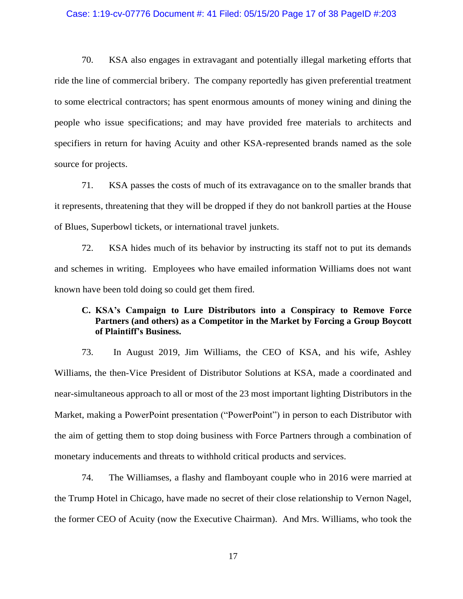#### Case: 1:19-cv-07776 Document #: 41 Filed: 05/15/20 Page 17 of 38 PageID #:203

70. KSA also engages in extravagant and potentially illegal marketing efforts that ride the line of commercial bribery. The company reportedly has given preferential treatment to some electrical contractors; has spent enormous amounts of money wining and dining the people who issue specifications; and may have provided free materials to architects and specifiers in return for having Acuity and other KSA-represented brands named as the sole source for projects.

71. KSA passes the costs of much of its extravagance on to the smaller brands that it represents, threatening that they will be dropped if they do not bankroll parties at the House of Blues, Superbowl tickets, or international travel junkets.

72. KSA hides much of its behavior by instructing its staff not to put its demands and schemes in writing. Employees who have emailed information Williams does not want known have been told doing so could get them fired.

## **C. KSA's Campaign to Lure Distributors into a Conspiracy to Remove Force Partners (and others) as a Competitor in the Market by Forcing a Group Boycott of Plaintiff's Business.**

73. In August 2019, Jim Williams, the CEO of KSA, and his wife, Ashley Williams, the then-Vice President of Distributor Solutions at KSA, made a coordinated and near-simultaneous approach to all or most of the 23 most important lighting Distributors in the Market, making a PowerPoint presentation ("PowerPoint") in person to each Distributor with the aim of getting them to stop doing business with Force Partners through a combination of monetary inducements and threats to withhold critical products and services.

74. The Williamses, a flashy and flamboyant couple who in 2016 were married at the Trump Hotel in Chicago, have made no secret of their close relationship to Vernon Nagel, the former CEO of Acuity (now the Executive Chairman). And Mrs. Williams, who took the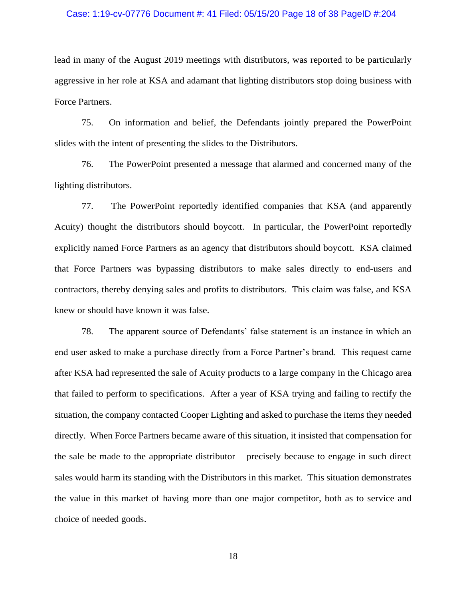### Case: 1:19-cv-07776 Document #: 41 Filed: 05/15/20 Page 18 of 38 PageID #:204

lead in many of the August 2019 meetings with distributors, was reported to be particularly aggressive in her role at KSA and adamant that lighting distributors stop doing business with Force Partners.

75. On information and belief, the Defendants jointly prepared the PowerPoint slides with the intent of presenting the slides to the Distributors.

76. The PowerPoint presented a message that alarmed and concerned many of the lighting distributors.

77. The PowerPoint reportedly identified companies that KSA (and apparently Acuity) thought the distributors should boycott. In particular, the PowerPoint reportedly explicitly named Force Partners as an agency that distributors should boycott. KSA claimed that Force Partners was bypassing distributors to make sales directly to end-users and contractors, thereby denying sales and profits to distributors. This claim was false, and KSA knew or should have known it was false.

78. The apparent source of Defendants' false statement is an instance in which an end user asked to make a purchase directly from a Force Partner's brand. This request came after KSA had represented the sale of Acuity products to a large company in the Chicago area that failed to perform to specifications. After a year of KSA trying and failing to rectify the situation, the company contacted Cooper Lighting and asked to purchase the items they needed directly. When Force Partners became aware of this situation, it insisted that compensation for the sale be made to the appropriate distributor – precisely because to engage in such direct sales would harm its standing with the Distributors in this market. This situation demonstrates the value in this market of having more than one major competitor, both as to service and choice of needed goods.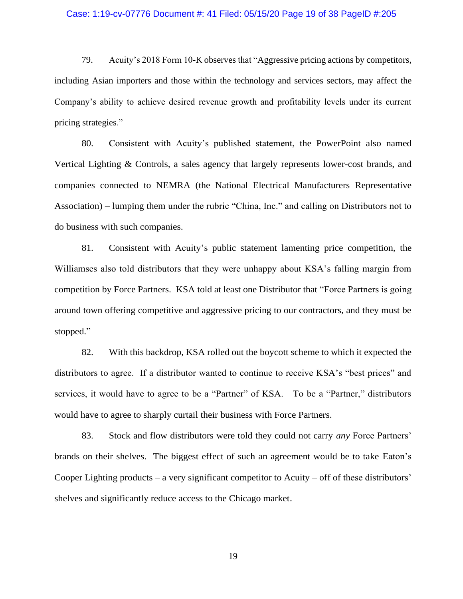#### Case: 1:19-cv-07776 Document #: 41 Filed: 05/15/20 Page 19 of 38 PageID #:205

79. Acuity's 2018 Form 10-K observes that "Aggressive pricing actions by competitors, including Asian importers and those within the technology and services sectors, may affect the Company's ability to achieve desired revenue growth and profitability levels under its current pricing strategies."

80. Consistent with Acuity's published statement, the PowerPoint also named Vertical Lighting & Controls, a sales agency that largely represents lower-cost brands, and companies connected to NEMRA (the National Electrical Manufacturers Representative Association) – lumping them under the rubric "China, Inc." and calling on Distributors not to do business with such companies.

81. Consistent with Acuity's public statement lamenting price competition, the Williamses also told distributors that they were unhappy about KSA's falling margin from competition by Force Partners. KSA told at least one Distributor that "Force Partners is going around town offering competitive and aggressive pricing to our contractors, and they must be stopped."

82. With this backdrop, KSA rolled out the boycott scheme to which it expected the distributors to agree. If a distributor wanted to continue to receive KSA's "best prices" and services, it would have to agree to be a "Partner" of KSA. To be a "Partner," distributors would have to agree to sharply curtail their business with Force Partners.

83. Stock and flow distributors were told they could not carry *any* Force Partners' brands on their shelves. The biggest effect of such an agreement would be to take Eaton's Cooper Lighting products – a very significant competitor to Acuity – off of these distributors' shelves and significantly reduce access to the Chicago market.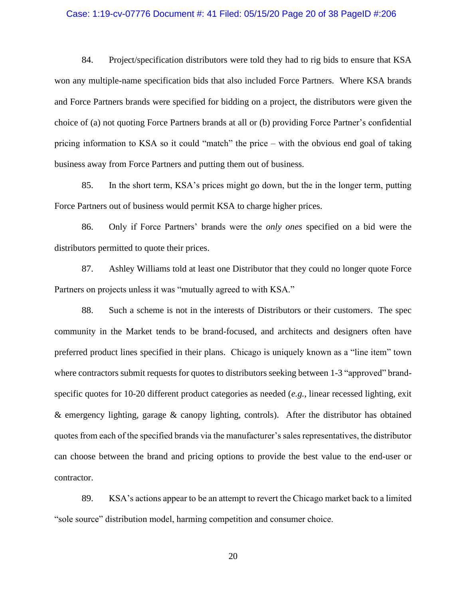#### Case: 1:19-cv-07776 Document #: 41 Filed: 05/15/20 Page 20 of 38 PageID #:206

84. Project/specification distributors were told they had to rig bids to ensure that KSA won any multiple-name specification bids that also included Force Partners. Where KSA brands and Force Partners brands were specified for bidding on a project, the distributors were given the choice of (a) not quoting Force Partners brands at all or (b) providing Force Partner's confidential pricing information to KSA so it could "match" the price – with the obvious end goal of taking business away from Force Partners and putting them out of business.

85. In the short term, KSA's prices might go down, but the in the longer term, putting Force Partners out of business would permit KSA to charge higher prices.

86. Only if Force Partners' brands were the *only ones* specified on a bid were the distributors permitted to quote their prices.

87. Ashley Williams told at least one Distributor that they could no longer quote Force Partners on projects unless it was "mutually agreed to with KSA."

88. Such a scheme is not in the interests of Distributors or their customers. The spec community in the Market tends to be brand-focused, and architects and designers often have preferred product lines specified in their plans. Chicago is uniquely known as a "line item" town where contractors submit requests for quotes to distributors seeking between 1-3 "approved" brandspecific quotes for 10-20 different product categories as needed (*e.g.*, linear recessed lighting, exit & emergency lighting, garage & canopy lighting, controls). After the distributor has obtained quotes from each of the specified brands via the manufacturer's sales representatives, the distributor can choose between the brand and pricing options to provide the best value to the end-user or contractor.

89. KSA's actions appear to be an attempt to revert the Chicago market back to a limited "sole source" distribution model, harming competition and consumer choice.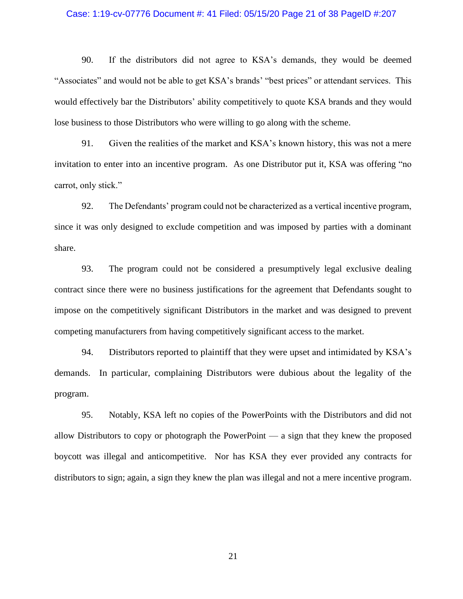#### Case: 1:19-cv-07776 Document #: 41 Filed: 05/15/20 Page 21 of 38 PageID #:207

90. If the distributors did not agree to KSA's demands, they would be deemed "Associates" and would not be able to get KSA's brands' "best prices" or attendant services. This would effectively bar the Distributors' ability competitively to quote KSA brands and they would lose business to those Distributors who were willing to go along with the scheme.

91. Given the realities of the market and KSA's known history, this was not a mere invitation to enter into an incentive program. As one Distributor put it, KSA was offering "no carrot, only stick."

92. The Defendants' program could not be characterized as a vertical incentive program, since it was only designed to exclude competition and was imposed by parties with a dominant share.

93. The program could not be considered a presumptively legal exclusive dealing contract since there were no business justifications for the agreement that Defendants sought to impose on the competitively significant Distributors in the market and was designed to prevent competing manufacturers from having competitively significant access to the market.

94. Distributors reported to plaintiff that they were upset and intimidated by KSA's demands. In particular, complaining Distributors were dubious about the legality of the program.

95. Notably, KSA left no copies of the PowerPoints with the Distributors and did not allow Distributors to copy or photograph the PowerPoint — a sign that they knew the proposed boycott was illegal and anticompetitive. Nor has KSA they ever provided any contracts for distributors to sign; again, a sign they knew the plan was illegal and not a mere incentive program.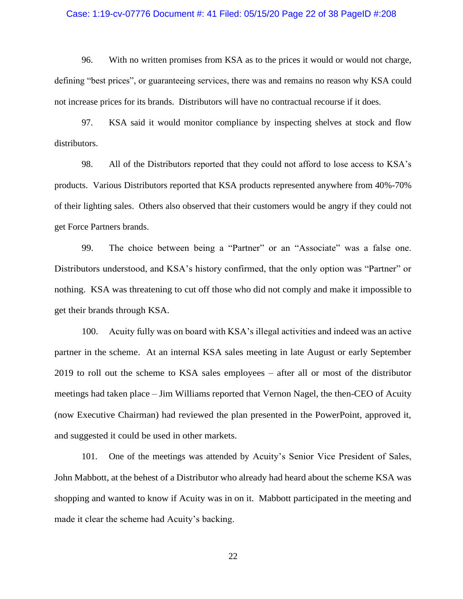#### Case: 1:19-cv-07776 Document #: 41 Filed: 05/15/20 Page 22 of 38 PageID #:208

96. With no written promises from KSA as to the prices it would or would not charge, defining "best prices", or guaranteeing services, there was and remains no reason why KSA could not increase prices for its brands. Distributors will have no contractual recourse if it does.

97. KSA said it would monitor compliance by inspecting shelves at stock and flow distributors.

98. All of the Distributors reported that they could not afford to lose access to KSA's products. Various Distributors reported that KSA products represented anywhere from 40%-70% of their lighting sales. Others also observed that their customers would be angry if they could not get Force Partners brands.

99. The choice between being a "Partner" or an "Associate" was a false one. Distributors understood, and KSA's history confirmed, that the only option was "Partner" or nothing. KSA was threatening to cut off those who did not comply and make it impossible to get their brands through KSA.

100. Acuity fully was on board with KSA's illegal activities and indeed was an active partner in the scheme. At an internal KSA sales meeting in late August or early September 2019 to roll out the scheme to KSA sales employees – after all or most of the distributor meetings had taken place – Jim Williams reported that Vernon Nagel, the then-CEO of Acuity (now Executive Chairman) had reviewed the plan presented in the PowerPoint, approved it, and suggested it could be used in other markets.

101. One of the meetings was attended by Acuity's Senior Vice President of Sales, John Mabbott, at the behest of a Distributor who already had heard about the scheme KSA was shopping and wanted to know if Acuity was in on it. Mabbott participated in the meeting and made it clear the scheme had Acuity's backing.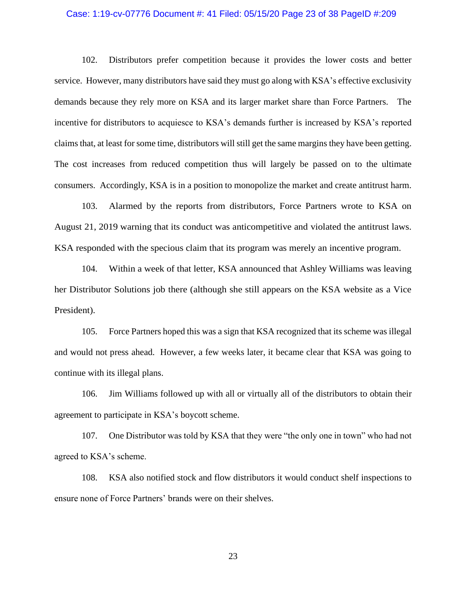### Case: 1:19-cv-07776 Document #: 41 Filed: 05/15/20 Page 23 of 38 PageID #:209

102. Distributors prefer competition because it provides the lower costs and better service. However, many distributors have said they must go along with KSA's effective exclusivity demands because they rely more on KSA and its larger market share than Force Partners. The incentive for distributors to acquiesce to KSA's demands further is increased by KSA's reported claims that, at least for some time, distributors will still get the same margins they have been getting. The cost increases from reduced competition thus will largely be passed on to the ultimate consumers. Accordingly, KSA is in a position to monopolize the market and create antitrust harm.

103. Alarmed by the reports from distributors, Force Partners wrote to KSA on August 21, 2019 warning that its conduct was anticompetitive and violated the antitrust laws. KSA responded with the specious claim that its program was merely an incentive program.

104. Within a week of that letter, KSA announced that Ashley Williams was leaving her Distributor Solutions job there (although she still appears on the KSA website as a Vice President).

105. Force Partners hoped this was a sign that KSA recognized that its scheme was illegal and would not press ahead. However, a few weeks later, it became clear that KSA was going to continue with its illegal plans.

106. Jim Williams followed up with all or virtually all of the distributors to obtain their agreement to participate in KSA's boycott scheme.

107. One Distributor was told by KSA that they were "the only one in town" who had not agreed to KSA's scheme.

108. KSA also notified stock and flow distributors it would conduct shelf inspections to ensure none of Force Partners' brands were on their shelves.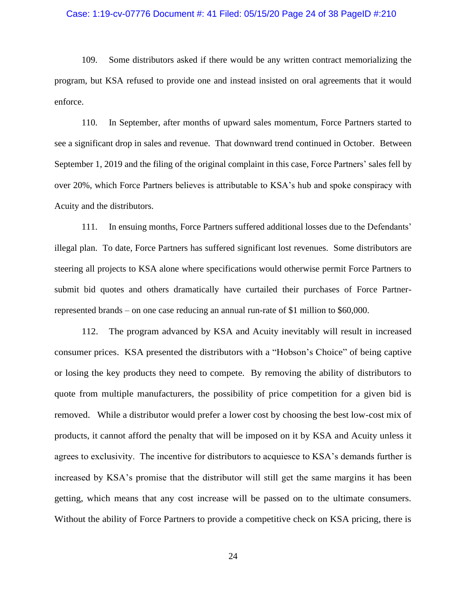#### Case: 1:19-cv-07776 Document #: 41 Filed: 05/15/20 Page 24 of 38 PageID #:210

109. Some distributors asked if there would be any written contract memorializing the program, but KSA refused to provide one and instead insisted on oral agreements that it would enforce.

110. In September, after months of upward sales momentum, Force Partners started to see a significant drop in sales and revenue. That downward trend continued in October. Between September 1, 2019 and the filing of the original complaint in this case, Force Partners' sales fell by over 20%, which Force Partners believes is attributable to KSA's hub and spoke conspiracy with Acuity and the distributors.

111. In ensuing months, Force Partners suffered additional losses due to the Defendants' illegal plan. To date, Force Partners has suffered significant lost revenues. Some distributors are steering all projects to KSA alone where specifications would otherwise permit Force Partners to submit bid quotes and others dramatically have curtailed their purchases of Force Partnerrepresented brands – on one case reducing an annual run-rate of \$1 million to \$60,000.

112. The program advanced by KSA and Acuity inevitably will result in increased consumer prices. KSA presented the distributors with a "Hobson's Choice" of being captive or losing the key products they need to compete. By removing the ability of distributors to quote from multiple manufacturers, the possibility of price competition for a given bid is removed. While a distributor would prefer a lower cost by choosing the best low-cost mix of products, it cannot afford the penalty that will be imposed on it by KSA and Acuity unless it agrees to exclusivity. The incentive for distributors to acquiesce to KSA's demands further is increased by KSA's promise that the distributor will still get the same margins it has been getting, which means that any cost increase will be passed on to the ultimate consumers. Without the ability of Force Partners to provide a competitive check on KSA pricing, there is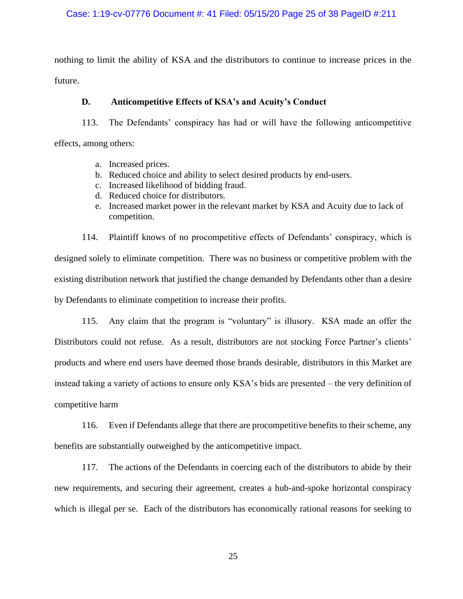nothing to limit the ability of KSA and the distributors to continue to increase prices in the future.

# **D. Anticompetitive Effects of KSA's and Acuity's Conduct**

113. The Defendants' conspiracy has had or will have the following anticompetitive effects, among others:

- a. Increased prices.
- b. Reduced choice and ability to select desired products by end-users.
- c. Increased likelihood of bidding fraud.
- d. Reduced choice for distributors.
- e. Increased market power in the relevant market by KSA and Acuity due to lack of competition.

114. Plaintiff knows of no procompetitive effects of Defendants' conspiracy, which is designed solely to eliminate competition. There was no business or competitive problem with the existing distribution network that justified the change demanded by Defendants other than a desire by Defendants to eliminate competition to increase their profits.

115. Any claim that the program is "voluntary" is illusory. KSA made an offer the Distributors could not refuse. As a result, distributors are not stocking Force Partner's clients' products and where end users have deemed those brands desirable, distributors in this Market are instead taking a variety of actions to ensure only KSA's bids are presented – the very definition of competitive harm

116. Even if Defendants allege that there are procompetitive benefits to their scheme, any benefits are substantially outweighed by the anticompetitive impact.

117. The actions of the Defendants in coercing each of the distributors to abide by their new requirements, and securing their agreement, creates a hub-and-spoke horizontal conspiracy which is illegal per se. Each of the distributors has economically rational reasons for seeking to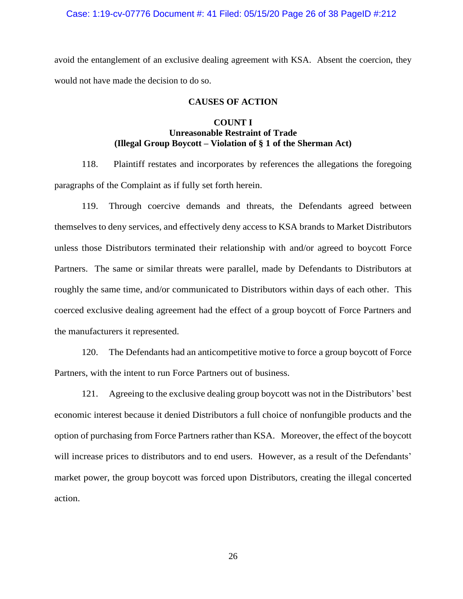#### Case: 1:19-cv-07776 Document #: 41 Filed: 05/15/20 Page 26 of 38 PageID #:212

avoid the entanglement of an exclusive dealing agreement with KSA. Absent the coercion, they would not have made the decision to do so.

### **CAUSES OF ACTION**

## **COUNT I Unreasonable Restraint of Trade (Illegal Group Boycott – Violation of § 1 of the Sherman Act)**

118. Plaintiff restates and incorporates by references the allegations the foregoing paragraphs of the Complaint as if fully set forth herein.

119. Through coercive demands and threats, the Defendants agreed between themselves to deny services, and effectively deny access to KSA brands to Market Distributors unless those Distributors terminated their relationship with and/or agreed to boycott Force Partners. The same or similar threats were parallel, made by Defendants to Distributors at roughly the same time, and/or communicated to Distributors within days of each other. This coerced exclusive dealing agreement had the effect of a group boycott of Force Partners and the manufacturers it represented.

120. The Defendants had an anticompetitive motive to force a group boycott of Force Partners, with the intent to run Force Partners out of business.

121. Agreeing to the exclusive dealing group boycott was not in the Distributors' best economic interest because it denied Distributors a full choice of nonfungible products and the option of purchasing from Force Partners rather than KSA. Moreover, the effect of the boycott will increase prices to distributors and to end users. However, as a result of the Defendants' market power, the group boycott was forced upon Distributors, creating the illegal concerted action.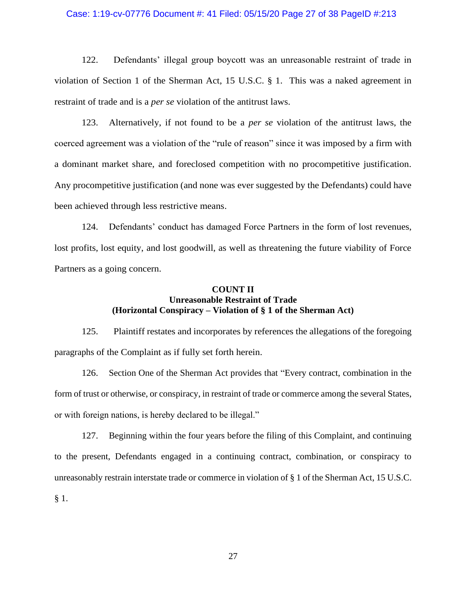#### Case: 1:19-cv-07776 Document #: 41 Filed: 05/15/20 Page 27 of 38 PageID #:213

122. Defendants' illegal group boycott was an unreasonable restraint of trade in violation of Section 1 of the Sherman Act, 15 U.S.C. § 1. This was a naked agreement in restraint of trade and is a *per se* violation of the antitrust laws.

123. Alternatively, if not found to be a *per se* violation of the antitrust laws, the coerced agreement was a violation of the "rule of reason" since it was imposed by a firm with a dominant market share, and foreclosed competition with no procompetitive justification. Any procompetitive justification (and none was ever suggested by the Defendants) could have been achieved through less restrictive means.

124. Defendants' conduct has damaged Force Partners in the form of lost revenues, lost profits, lost equity, and lost goodwill, as well as threatening the future viability of Force Partners as a going concern.

## **COUNT II Unreasonable Restraint of Trade (Horizontal Conspiracy – Violation of § 1 of the Sherman Act)**

125. Plaintiff restates and incorporates by references the allegations of the foregoing paragraphs of the Complaint as if fully set forth herein.

126. Section One of the Sherman Act provides that "Every contract, combination in the form of trust or otherwise, or conspiracy, in restraint of trade or commerce among the several States, or with foreign nations, is hereby declared to be illegal."

127. Beginning within the four years before the filing of this Complaint, and continuing to the present, Defendants engaged in a continuing contract, combination, or conspiracy to unreasonably restrain interstate trade or commerce in violation of § 1 of the Sherman Act, 15 U.S.C. § 1.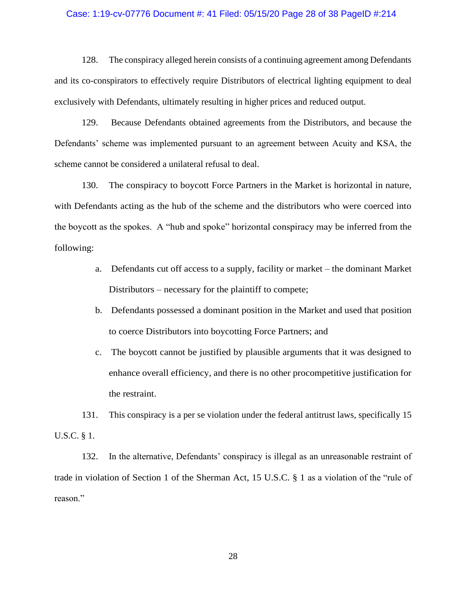### Case: 1:19-cv-07776 Document #: 41 Filed: 05/15/20 Page 28 of 38 PageID #:214

128. The conspiracy alleged herein consists of a continuing agreement among Defendants and its co-conspirators to effectively require Distributors of electrical lighting equipment to deal exclusively with Defendants, ultimately resulting in higher prices and reduced output.

129. Because Defendants obtained agreements from the Distributors, and because the Defendants' scheme was implemented pursuant to an agreement between Acuity and KSA, the scheme cannot be considered a unilateral refusal to deal.

130. The conspiracy to boycott Force Partners in the Market is horizontal in nature, with Defendants acting as the hub of the scheme and the distributors who were coerced into the boycott as the spokes. A "hub and spoke" horizontal conspiracy may be inferred from the following:

- a. Defendants cut off access to a supply, facility or market the dominant Market Distributors – necessary for the plaintiff to compete;
- b. Defendants possessed a dominant position in the Market and used that position to coerce Distributors into boycotting Force Partners; and
- c. The boycott cannot be justified by plausible arguments that it was designed to enhance overall efficiency, and there is no other procompetitive justification for the restraint.

131. This conspiracy is a per se violation under the federal antitrust laws, specifically 15 U.S.C. § 1.

132. In the alternative, Defendants' conspiracy is illegal as an unreasonable restraint of trade in violation of Section 1 of the Sherman Act, 15 U.S.C. § 1 as a violation of the "rule of reason."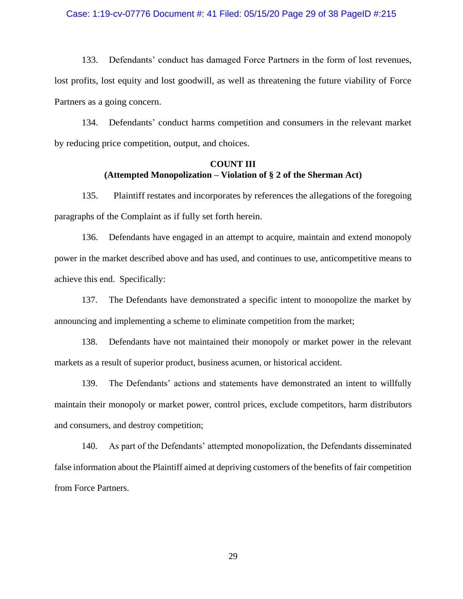#### Case: 1:19-cv-07776 Document #: 41 Filed: 05/15/20 Page 29 of 38 PageID #:215

133. Defendants' conduct has damaged Force Partners in the form of lost revenues, lost profits, lost equity and lost goodwill, as well as threatening the future viability of Force Partners as a going concern.

134. Defendants' conduct harms competition and consumers in the relevant market by reducing price competition, output, and choices.

## **COUNT III (Attempted Monopolization – Violation of § 2 of the Sherman Act)**

135. Plaintiff restates and incorporates by references the allegations of the foregoing paragraphs of the Complaint as if fully set forth herein.

136. Defendants have engaged in an attempt to acquire, maintain and extend monopoly power in the market described above and has used, and continues to use, anticompetitive means to achieve this end. Specifically:

137. The Defendants have demonstrated a specific intent to monopolize the market by announcing and implementing a scheme to eliminate competition from the market;

138. Defendants have not maintained their monopoly or market power in the relevant markets as a result of superior product, business acumen, or historical accident.

139. The Defendants' actions and statements have demonstrated an intent to willfully maintain their monopoly or market power, control prices, exclude competitors, harm distributors and consumers, and destroy competition;

140. As part of the Defendants' attempted monopolization, the Defendants disseminated false information about the Plaintiff aimed at depriving customers of the benefits of fair competition from Force Partners.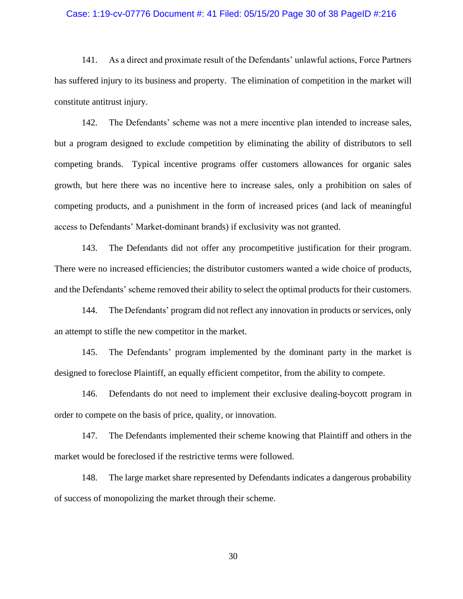### Case: 1:19-cv-07776 Document #: 41 Filed: 05/15/20 Page 30 of 38 PageID #:216

141. As a direct and proximate result of the Defendants' unlawful actions, Force Partners has suffered injury to its business and property. The elimination of competition in the market will constitute antitrust injury.

142. The Defendants' scheme was not a mere incentive plan intended to increase sales, but a program designed to exclude competition by eliminating the ability of distributors to sell competing brands. Typical incentive programs offer customers allowances for organic sales growth, but here there was no incentive here to increase sales, only a prohibition on sales of competing products, and a punishment in the form of increased prices (and lack of meaningful access to Defendants' Market-dominant brands) if exclusivity was not granted.

143. The Defendants did not offer any procompetitive justification for their program. There were no increased efficiencies; the distributor customers wanted a wide choice of products, and the Defendants' scheme removed their ability to select the optimal products for their customers.

144. The Defendants' program did not reflect any innovation in products or services, only an attempt to stifle the new competitor in the market.

145. The Defendants' program implemented by the dominant party in the market is designed to foreclose Plaintiff, an equally efficient competitor, from the ability to compete.

146. Defendants do not need to implement their exclusive dealing-boycott program in order to compete on the basis of price, quality, or innovation.

147. The Defendants implemented their scheme knowing that Plaintiff and others in the market would be foreclosed if the restrictive terms were followed.

148. The large market share represented by Defendants indicates a dangerous probability of success of monopolizing the market through their scheme.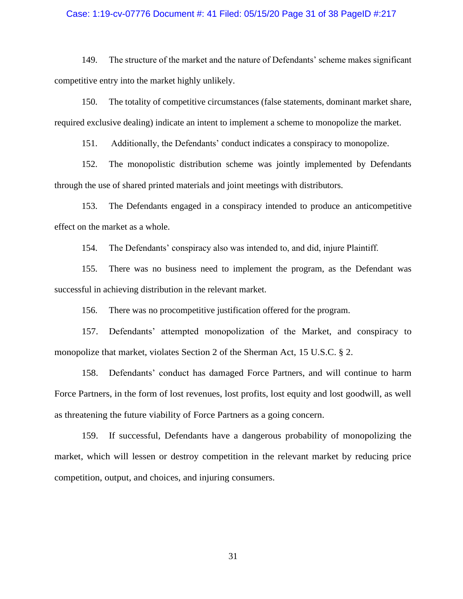#### Case: 1:19-cv-07776 Document #: 41 Filed: 05/15/20 Page 31 of 38 PageID #:217

149. The structure of the market and the nature of Defendants' scheme makes significant competitive entry into the market highly unlikely.

150. The totality of competitive circumstances (false statements, dominant market share, required exclusive dealing) indicate an intent to implement a scheme to monopolize the market.

151. Additionally, the Defendants' conduct indicates a conspiracy to monopolize.

152. The monopolistic distribution scheme was jointly implemented by Defendants through the use of shared printed materials and joint meetings with distributors.

153. The Defendants engaged in a conspiracy intended to produce an anticompetitive effect on the market as a whole.

154. The Defendants' conspiracy also was intended to, and did, injure Plaintiff.

155. There was no business need to implement the program, as the Defendant was successful in achieving distribution in the relevant market.

156. There was no procompetitive justification offered for the program.

157. Defendants' attempted monopolization of the Market, and conspiracy to monopolize that market, violates Section 2 of the Sherman Act, 15 U.S.C. § 2.

158. Defendants' conduct has damaged Force Partners, and will continue to harm Force Partners, in the form of lost revenues, lost profits, lost equity and lost goodwill, as well as threatening the future viability of Force Partners as a going concern.

159. If successful, Defendants have a dangerous probability of monopolizing the market, which will lessen or destroy competition in the relevant market by reducing price competition, output, and choices, and injuring consumers.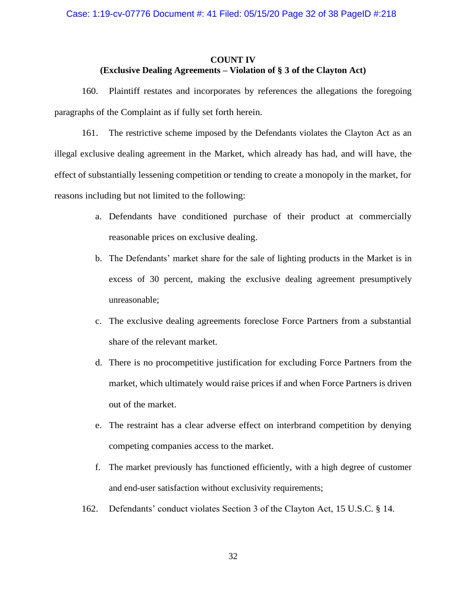## **COUNT IV (Exclusive Dealing Agreements – Violation of § 3 of the Clayton Act)**

160. Plaintiff restates and incorporates by references the allegations the foregoing paragraphs of the Complaint as if fully set forth herein.

161. The restrictive scheme imposed by the Defendants violates the Clayton Act as an illegal exclusive dealing agreement in the Market, which already has had, and will have, the effect of substantially lessening competition or tending to create a monopoly in the market, for reasons including but not limited to the following:

- a. Defendants have conditioned purchase of their product at commercially reasonable prices on exclusive dealing.
- b. The Defendants' market share for the sale of lighting products in the Market is in excess of 30 percent, making the exclusive dealing agreement presumptively unreasonable;
- c. The exclusive dealing agreements foreclose Force Partners from a substantial share of the relevant market.
- d. There is no procompetitive justification for excluding Force Partners from the market, which ultimately would raise prices if and when Force Partners is driven out of the market.
- e. The restraint has a clear adverse effect on interbrand competition by denying competing companies access to the market.
- f. The market previously has functioned efficiently, with a high degree of customer and end-user satisfaction without exclusivity requirements;
- 162. Defendants' conduct violates Section 3 of the Clayton Act, 15 U.S.C. § 14.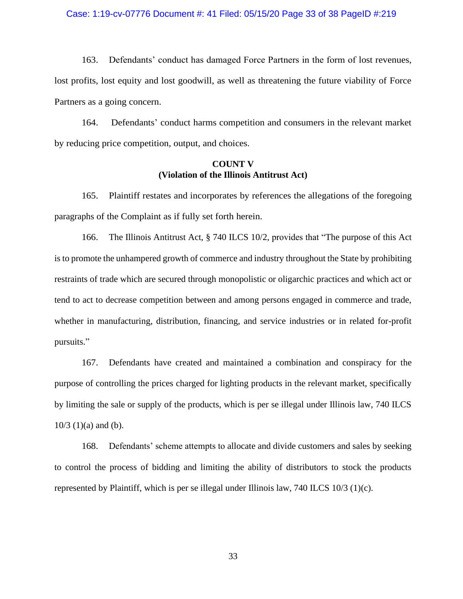#### Case: 1:19-cv-07776 Document #: 41 Filed: 05/15/20 Page 33 of 38 PageID #:219

163. Defendants' conduct has damaged Force Partners in the form of lost revenues, lost profits, lost equity and lost goodwill, as well as threatening the future viability of Force Partners as a going concern.

164. Defendants' conduct harms competition and consumers in the relevant market by reducing price competition, output, and choices.

## **COUNT V (Violation of the Illinois Antitrust Act)**

165. Plaintiff restates and incorporates by references the allegations of the foregoing paragraphs of the Complaint as if fully set forth herein.

166. The Illinois Antitrust Act, § 740 ILCS 10/2, provides that "The purpose of this Act is to promote the unhampered growth of commerce and industry throughout the State by prohibiting restraints of trade which are secured through monopolistic or oligarchic practices and which act or tend to act to decrease competition between and among persons engaged in commerce and trade, whether in manufacturing, distribution, financing, and service industries or in related for-profit pursuits."

167. Defendants have created and maintained a combination and conspiracy for the purpose of controlling the prices charged for lighting products in the relevant market, specifically by limiting the sale or supply of the products, which is per se illegal under Illinois law, 740 ILCS  $10/3$  (1)(a) and (b).

168. Defendants' scheme attempts to allocate and divide customers and sales by seeking to control the process of bidding and limiting the ability of distributors to stock the products represented by Plaintiff, which is per se illegal under Illinois law, 740 ILCS 10/3 (1)(c).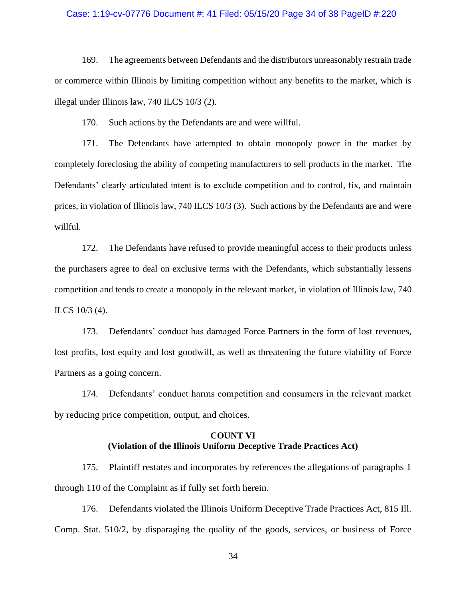#### Case: 1:19-cv-07776 Document #: 41 Filed: 05/15/20 Page 34 of 38 PageID #:220

169. The agreements between Defendants and the distributors unreasonably restrain trade or commerce within Illinois by limiting competition without any benefits to the market, which is illegal under Illinois law, 740 ILCS 10/3 (2).

170. Such actions by the Defendants are and were willful.

171. The Defendants have attempted to obtain monopoly power in the market by completely foreclosing the ability of competing manufacturers to sell products in the market. The Defendants' clearly articulated intent is to exclude competition and to control, fix, and maintain prices, in violation of Illinois law, 740 ILCS 10/3 (3). Such actions by the Defendants are and were willful.

172. The Defendants have refused to provide meaningful access to their products unless the purchasers agree to deal on exclusive terms with the Defendants, which substantially lessens competition and tends to create a monopoly in the relevant market, in violation of Illinois law, 740 ILCS 10/3 (4).

173. Defendants' conduct has damaged Force Partners in the form of lost revenues, lost profits, lost equity and lost goodwill, as well as threatening the future viability of Force Partners as a going concern.

174. Defendants' conduct harms competition and consumers in the relevant market by reducing price competition, output, and choices.

## **COUNT VI (Violation of the Illinois Uniform Deceptive Trade Practices Act)**

175. Plaintiff restates and incorporates by references the allegations of paragraphs 1 through 110 of the Complaint as if fully set forth herein.

176. Defendants violated the Illinois Uniform Deceptive Trade Practices Act, 815 Ill. Comp. Stat. 510/2, by disparaging the quality of the goods, services, or business of Force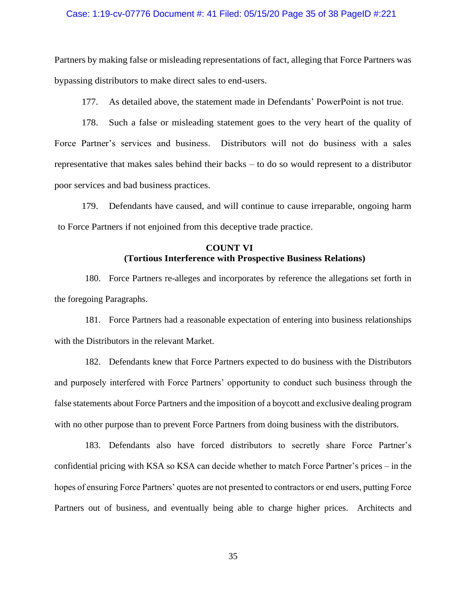#### Case: 1:19-cv-07776 Document #: 41 Filed: 05/15/20 Page 35 of 38 PageID #:221

Partners by making false or misleading representations of fact, alleging that Force Partners was bypassing distributors to make direct sales to end-users.

177. As detailed above, the statement made in Defendants' PowerPoint is not true.

178. Such a false or misleading statement goes to the very heart of the quality of Force Partner's services and business. Distributors will not do business with a sales representative that makes sales behind their backs – to do so would represent to a distributor poor services and bad business practices.

179. Defendants have caused, and will continue to cause irreparable, ongoing harm to Force Partners if not enjoined from this deceptive trade practice.

# **COUNT VI (Tortious Interference with Prospective Business Relations)**

180. Force Partners re-alleges and incorporates by reference the allegations set forth in the foregoing Paragraphs.

181. Force Partners had a reasonable expectation of entering into business relationships with the Distributors in the relevant Market.

182. Defendants knew that Force Partners expected to do business with the Distributors and purposely interfered with Force Partners' opportunity to conduct such business through the false statements about Force Partners and the imposition of a boycott and exclusive dealing program with no other purpose than to prevent Force Partners from doing business with the distributors.

183. Defendants also have forced distributors to secretly share Force Partner's confidential pricing with KSA so KSA can decide whether to match Force Partner's prices – in the hopes of ensuring Force Partners' quotes are not presented to contractors or end users, putting Force Partners out of business, and eventually being able to charge higher prices. Architects and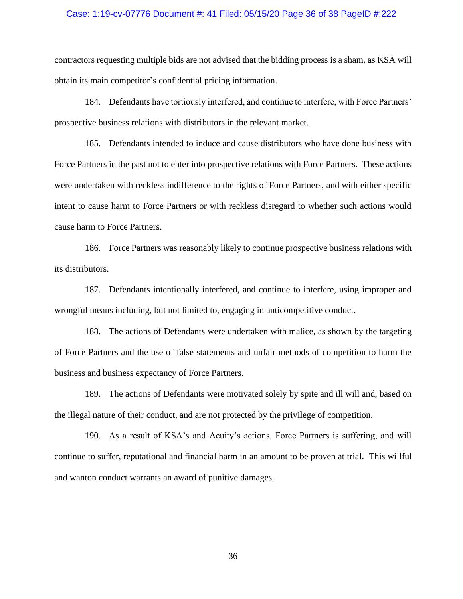#### Case: 1:19-cv-07776 Document #: 41 Filed: 05/15/20 Page 36 of 38 PageID #:222

contractors requesting multiple bids are not advised that the bidding process is a sham, as KSA will obtain its main competitor's confidential pricing information.

184. Defendants have tortiously interfered, and continue to interfere, with Force Partners' prospective business relations with distributors in the relevant market.

185. Defendants intended to induce and cause distributors who have done business with Force Partners in the past not to enter into prospective relations with Force Partners. These actions were undertaken with reckless indifference to the rights of Force Partners, and with either specific intent to cause harm to Force Partners or with reckless disregard to whether such actions would cause harm to Force Partners.

186. Force Partners was reasonably likely to continue prospective business relations with its distributors.

187. Defendants intentionally interfered, and continue to interfere, using improper and wrongful means including, but not limited to, engaging in anticompetitive conduct.

188. The actions of Defendants were undertaken with malice, as shown by the targeting of Force Partners and the use of false statements and unfair methods of competition to harm the business and business expectancy of Force Partners.

189. The actions of Defendants were motivated solely by spite and ill will and, based on the illegal nature of their conduct, and are not protected by the privilege of competition.

190. As a result of KSA's and Acuity's actions, Force Partners is suffering, and will continue to suffer, reputational and financial harm in an amount to be proven at trial. This willful and wanton conduct warrants an award of punitive damages.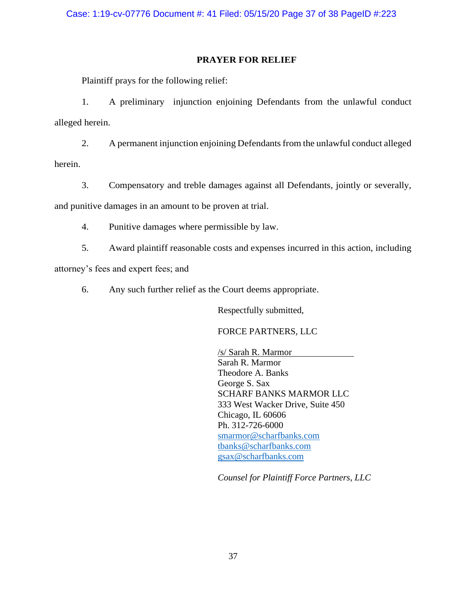## **PRAYER FOR RELIEF**

Plaintiff prays for the following relief:

1. A preliminary injunction enjoining Defendants from the unlawful conduct alleged herein.

2. A permanent injunction enjoining Defendants from the unlawful conduct alleged herein.

3. Compensatory and treble damages against all Defendants, jointly or severally, and punitive damages in an amount to be proven at trial.

4. Punitive damages where permissible by law.

5. Award plaintiff reasonable costs and expenses incurred in this action, including

attorney's fees and expert fees; and

6. Any such further relief as the Court deems appropriate.

Respectfully submitted,

FORCE PARTNERS, LLC

/s/ Sarah R. Marmor Sarah R. Marmor Theodore A. Banks George S. Sax SCHARF BANKS MARMOR LLC 333 West Wacker Drive, Suite 450 Chicago, IL 60606 Ph. 312-726-6000 [smarmor@scharfbanks.com](mailto:smarmor@scharfbanks.com) [tbanks@scharfbanks.com](mailto:tbanks@scharfbanks.com) [gsax@scharfbanks.com](mailto:gsax@scharfbanks.com)

*Counsel for Plaintiff Force Partners, LLC*